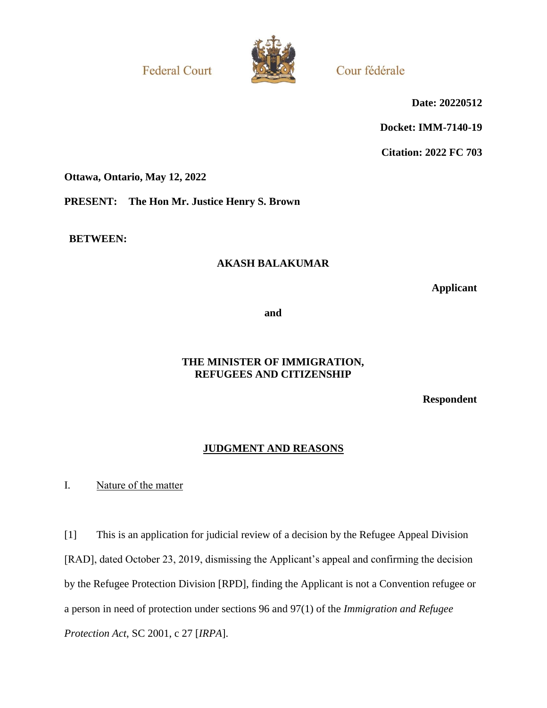**Federal Court** 



Cour fédérale

**Date: 20220512**

**Docket: IMM-7140-19**

**Citation: 2022 FC 703**

**Ottawa, Ontario, May 12, 2022**

**PRESENT: The Hon Mr. Justice Henry S. Brown**

**BETWEEN:**

# **AKASH BALAKUMAR**

**Applicant**

**and**

# **THE MINISTER OF IMMIGRATION, REFUGEES AND CITIZENSHIP**

**Respondent**

# **JUDGMENT AND REASONS**

I. Nature of the matter

[1] This is an application for judicial review of a decision by the Refugee Appeal Division [RAD], dated October 23, 2019, dismissing the Applicant's appeal and confirming the decision by the Refugee Protection Division [RPD], finding the Applicant is not a Convention refugee or a person in need of protection under sections 96 and 97(1) of the *Immigration and Refugee Protection Act*, SC 2001, c 27 [*IRPA*].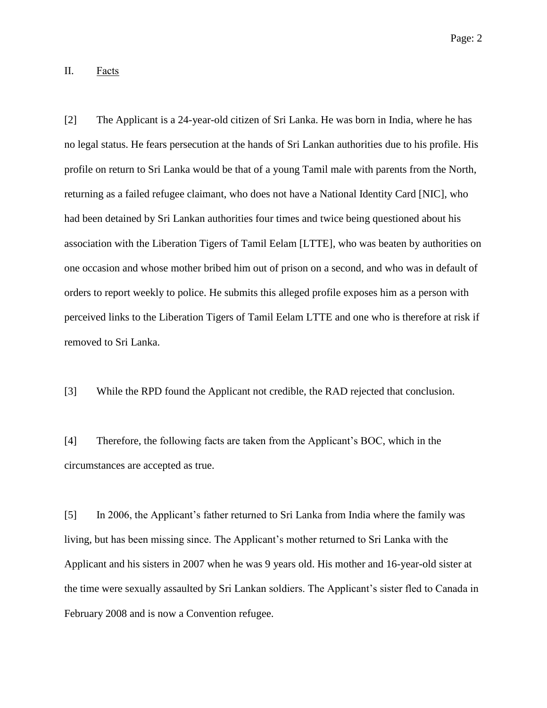II. Facts

[2] The Applicant is a 24-year-old citizen of Sri Lanka. He was born in India, where he has no legal status. He fears persecution at the hands of Sri Lankan authorities due to his profile. His profile on return to Sri Lanka would be that of a young Tamil male with parents from the North, returning as a failed refugee claimant, who does not have a National Identity Card [NIC], who had been detained by Sri Lankan authorities four times and twice being questioned about his association with the Liberation Tigers of Tamil Eelam [LTTE], who was beaten by authorities on one occasion and whose mother bribed him out of prison on a second, and who was in default of orders to report weekly to police. He submits this alleged profile exposes him as a person with perceived links to the Liberation Tigers of Tamil Eelam LTTE and one who is therefore at risk if removed to Sri Lanka.

[3] While the RPD found the Applicant not credible, the RAD rejected that conclusion.

[4] Therefore, the following facts are taken from the Applicant's BOC, which in the circumstances are accepted as true.

[5] In 2006, the Applicant's father returned to Sri Lanka from India where the family was living, but has been missing since. The Applicant's mother returned to Sri Lanka with the Applicant and his sisters in 2007 when he was 9 years old. His mother and 16-year-old sister at the time were sexually assaulted by Sri Lankan soldiers. The Applicant's sister fled to Canada in February 2008 and is now a Convention refugee.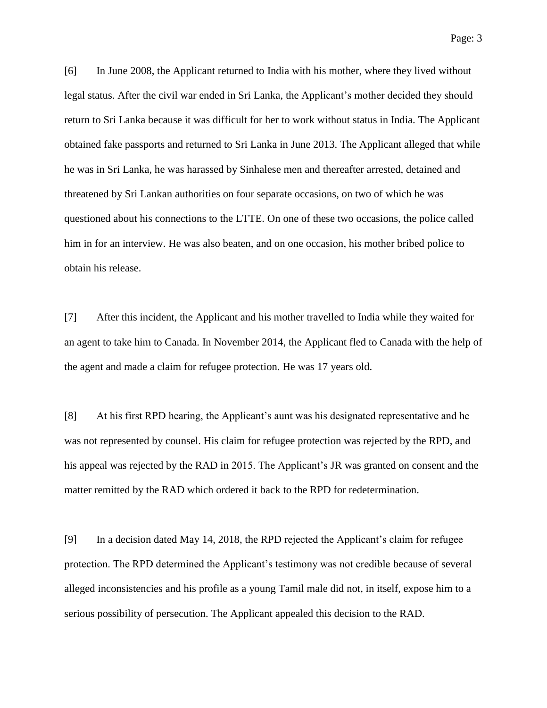[6] In June 2008, the Applicant returned to India with his mother, where they lived without legal status. After the civil war ended in Sri Lanka, the Applicant's mother decided they should return to Sri Lanka because it was difficult for her to work without status in India. The Applicant obtained fake passports and returned to Sri Lanka in June 2013. The Applicant alleged that while he was in Sri Lanka, he was harassed by Sinhalese men and thereafter arrested, detained and threatened by Sri Lankan authorities on four separate occasions, on two of which he was questioned about his connections to the LTTE. On one of these two occasions, the police called him in for an interview. He was also beaten, and on one occasion, his mother bribed police to obtain his release.

[7] After this incident, the Applicant and his mother travelled to India while they waited for an agent to take him to Canada. In November 2014, the Applicant fled to Canada with the help of the agent and made a claim for refugee protection. He was 17 years old.

[8] At his first RPD hearing, the Applicant's aunt was his designated representative and he was not represented by counsel. His claim for refugee protection was rejected by the RPD, and his appeal was rejected by the RAD in 2015. The Applicant's JR was granted on consent and the matter remitted by the RAD which ordered it back to the RPD for redetermination.

[9] In a decision dated May 14, 2018, the RPD rejected the Applicant's claim for refugee protection. The RPD determined the Applicant's testimony was not credible because of several alleged inconsistencies and his profile as a young Tamil male did not, in itself, expose him to a serious possibility of persecution. The Applicant appealed this decision to the RAD.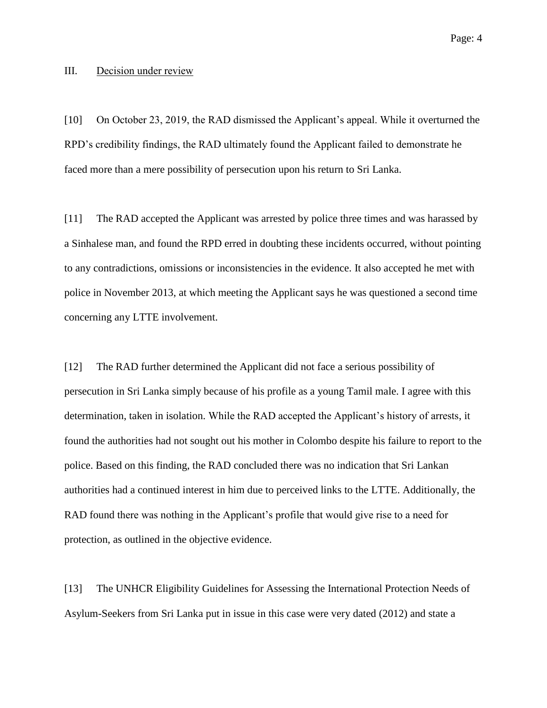#### III. Decision under review

[10] On October 23, 2019, the RAD dismissed the Applicant's appeal. While it overturned the RPD's credibility findings, the RAD ultimately found the Applicant failed to demonstrate he faced more than a mere possibility of persecution upon his return to Sri Lanka.

[11] The RAD accepted the Applicant was arrested by police three times and was harassed by a Sinhalese man, and found the RPD erred in doubting these incidents occurred, without pointing to any contradictions, omissions or inconsistencies in the evidence. It also accepted he met with police in November 2013, at which meeting the Applicant says he was questioned a second time concerning any LTTE involvement.

[12] The RAD further determined the Applicant did not face a serious possibility of persecution in Sri Lanka simply because of his profile as a young Tamil male. I agree with this determination, taken in isolation. While the RAD accepted the Applicant's history of arrests, it found the authorities had not sought out his mother in Colombo despite his failure to report to the police. Based on this finding, the RAD concluded there was no indication that Sri Lankan authorities had a continued interest in him due to perceived links to the LTTE. Additionally, the RAD found there was nothing in the Applicant's profile that would give rise to a need for protection, as outlined in the objective evidence.

[13] The UNHCR Eligibility Guidelines for Assessing the International Protection Needs of Asylum-Seekers from Sri Lanka put in issue in this case were very dated (2012) and state a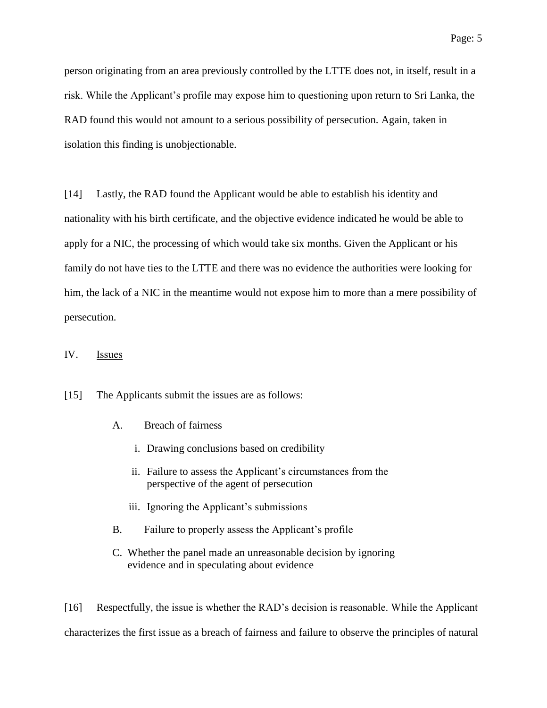person originating from an area previously controlled by the LTTE does not, in itself, result in a risk. While the Applicant's profile may expose him to questioning upon return to Sri Lanka, the RAD found this would not amount to a serious possibility of persecution. Again, taken in isolation this finding is unobjectionable.

[14] Lastly, the RAD found the Applicant would be able to establish his identity and nationality with his birth certificate, and the objective evidence indicated he would be able to apply for a NIC, the processing of which would take six months. Given the Applicant or his family do not have ties to the LTTE and there was no evidence the authorities were looking for him, the lack of a NIC in the meantime would not expose him to more than a mere possibility of persecution.

#### IV. Issues

[15] The Applicants submit the issues are as follows:

- A. Breach of fairness
	- i. Drawing conclusions based on credibility
	- ii. Failure to assess the Applicant's circumstances from the perspective of the agent of persecution
	- iii. Ignoring the Applicant's submissions
- B. Failure to properly assess the Applicant's profile
- C. Whether the panel made an unreasonable decision by ignoring evidence and in speculating about evidence

[16] Respectfully, the issue is whether the RAD's decision is reasonable. While the Applicant characterizes the first issue as a breach of fairness and failure to observe the principles of natural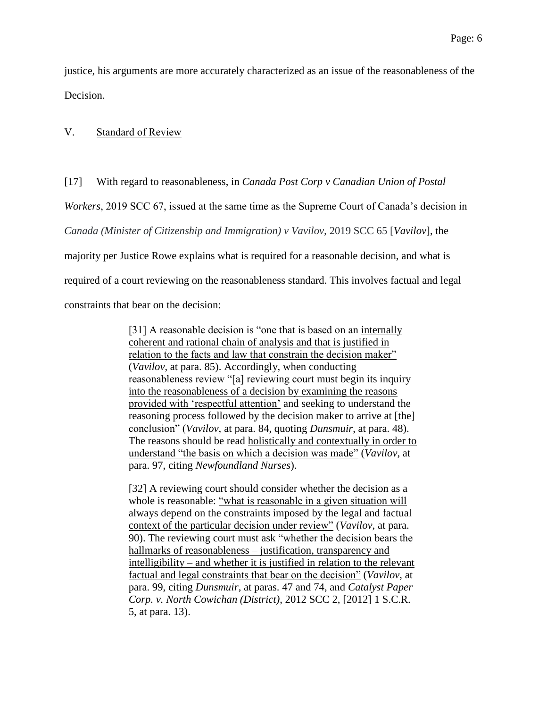justice, his arguments are more accurately characterized as an issue of the reasonableness of the Decision.

#### V. Standard of Review

#### [17] With regard to reasonableness, in *Canada Post Corp v Canadian Union of Postal*

*Workers*, 2019 SCC 67, issued at the same time as the Supreme Court of Canada's decision in

*Canada (Minister of Citizenship and Immigration) v Vavilov,* 2019 SCC 65 [*Vavilov*], the

majority per Justice Rowe explains what is required for a reasonable decision, and what is

required of a court reviewing on the reasonableness standard. This involves factual and legal

constraints that bear on the decision:

[31] A reasonable decision is "one that is based on an internally coherent and rational chain of analysis and that is justified in relation to the facts and law that constrain the decision maker" (*Vavilov*, at para. 85). Accordingly, when conducting reasonableness review "[a] reviewing court must begin its inquiry into the reasonableness of a decision by examining the reasons provided with 'respectful attention' and seeking to understand the reasoning process followed by the decision maker to arrive at [the] conclusion" (*Vavilov*, at para. 84, quoting *Dunsmuir*, at para. 48). The reasons should be read holistically and contextually in order to understand "the basis on which a decision was made" (*Vavilov*, at para. 97, citing *Newfoundland Nurses*).

[32] A reviewing court should consider whether the decision as a whole is reasonable: "what is reasonable in a given situation will always depend on the constraints imposed by the legal and factual context of the particular decision under review" (*Vavilov*, at para. 90). The reviewing court must ask "whether the decision bears the hallmarks of reasonableness – justification, transparency and intelligibility – and whether it is justified in relation to the relevant factual and legal constraints that bear on the decision" (*Vavilov*, at para. 99, citing *Dunsmuir*, at paras. 47 and 74, and *Catalyst Paper Corp. v. North Cowichan (District)*, 2012 SCC 2, [2012] 1 S.C.R. 5, at para. 13).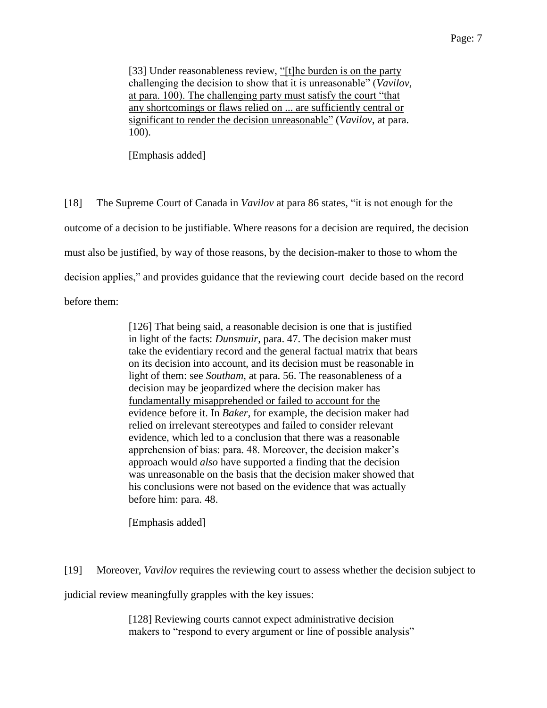[33] Under reasonableness review, "[t]he burden is on the party challenging the decision to show that it is unreasonable" (*Vavilov*, at para. 100). The challenging party must satisfy the court "that any shortcomings or flaws relied on ... are sufficiently central or significant to render the decision unreasonable" (*Vavilov*, at para. 100).

[Emphasis added]

[18] The Supreme Court of Canada in *Vavilov* at para 86 states, "it is not enough for the outcome of a decision to be justifiable. Where reasons for a decision are required, the decision must also be justified, by way of those reasons, by the decision-maker to those to whom the decision applies," and provides guidance that the reviewing court decide based on the record before them:

> [126] That being said, a reasonable decision is one that is justified in light of the facts: *Dunsmuir*, para. 47. The decision maker must take the evidentiary record and the general factual matrix that bears on its decision into account, and its decision must be reasonable in light of them: see *Southam*, at para. 56. The reasonableness of a decision may be jeopardized where the decision maker has fundamentally misapprehended or failed to account for the evidence before it. In *Baker*, for example, the decision maker had relied on irrelevant stereotypes and failed to consider relevant evidence, which led to a conclusion that there was a reasonable apprehension of bias: para. 48. Moreover, the decision maker's approach would *also* have supported a finding that the decision was unreasonable on the basis that the decision maker showed that his conclusions were not based on the evidence that was actually before him: para. 48.

[Emphasis added]

[19] Moreover, *Vavilov* requires the reviewing court to assess whether the decision subject to

judicial review meaningfully grapples with the key issues:

[128] Reviewing courts cannot expect administrative decision makers to "respond to every argument or line of possible analysis"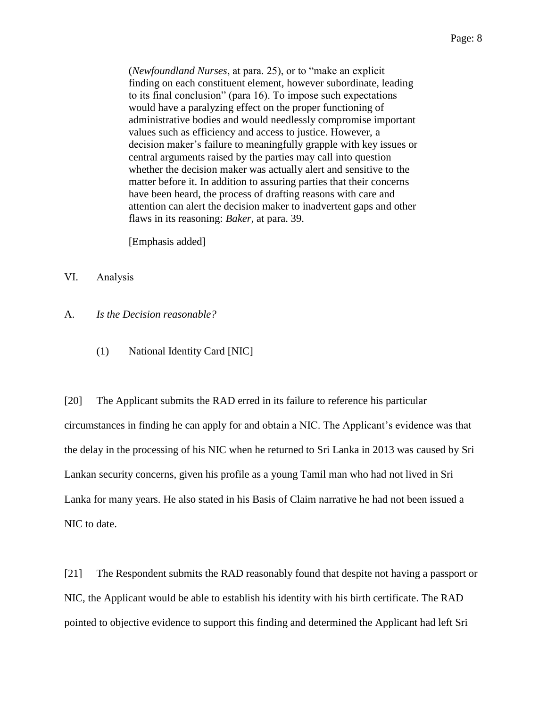(*Newfoundland Nurses*, at para. 25), or to "make an explicit finding on each constituent element, however subordinate, leading to its final conclusion" (para 16). To impose such expectations would have a paralyzing effect on the proper functioning of administrative bodies and would needlessly compromise important values such as efficiency and access to justice. However, a decision maker's failure to meaningfully grapple with key issues or central arguments raised by the parties may call into question whether the decision maker was actually alert and sensitive to the matter before it. In addition to assuring parties that their concerns have been heard, the process of drafting reasons with care and attention can alert the decision maker to inadvertent gaps and other flaws in its reasoning: *Baker*, at para. 39.

[Emphasis added]

- VI. Analysis
- A. *Is the Decision reasonable?*
	- (1) National Identity Card [NIC]

[20] The Applicant submits the RAD erred in its failure to reference his particular circumstances in finding he can apply for and obtain a NIC. The Applicant's evidence was that the delay in the processing of his NIC when he returned to Sri Lanka in 2013 was caused by Sri Lankan security concerns, given his profile as a young Tamil man who had not lived in Sri Lanka for many years. He also stated in his Basis of Claim narrative he had not been issued a NIC to date.

[21] The Respondent submits the RAD reasonably found that despite not having a passport or NIC, the Applicant would be able to establish his identity with his birth certificate. The RAD pointed to objective evidence to support this finding and determined the Applicant had left Sri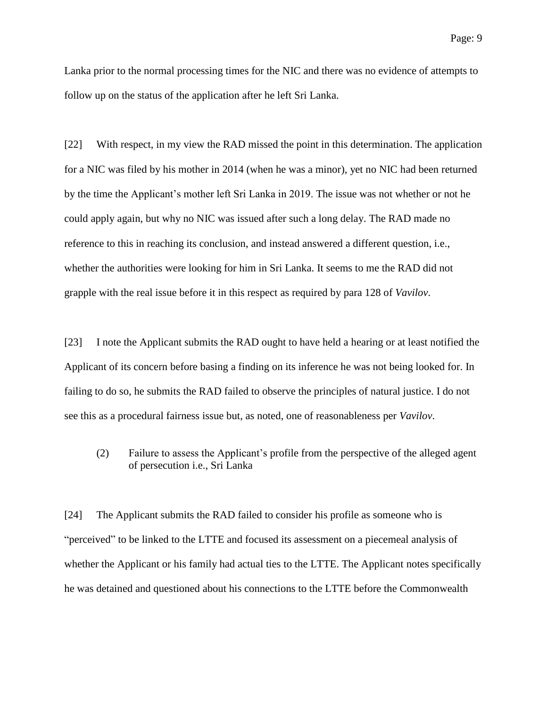Lanka prior to the normal processing times for the NIC and there was no evidence of attempts to follow up on the status of the application after he left Sri Lanka.

[22] With respect, in my view the RAD missed the point in this determination. The application for a NIC was filed by his mother in 2014 (when he was a minor), yet no NIC had been returned by the time the Applicant's mother left Sri Lanka in 2019. The issue was not whether or not he could apply again, but why no NIC was issued after such a long delay. The RAD made no reference to this in reaching its conclusion, and instead answered a different question, i.e., whether the authorities were looking for him in Sri Lanka. It seems to me the RAD did not grapple with the real issue before it in this respect as required by para 128 of *Vavilov*.

[23] I note the Applicant submits the RAD ought to have held a hearing or at least notified the Applicant of its concern before basing a finding on its inference he was not being looked for. In failing to do so, he submits the RAD failed to observe the principles of natural justice. I do not see this as a procedural fairness issue but, as noted, one of reasonableness per *Vavilov*.

(2) Failure to assess the Applicant's profile from the perspective of the alleged agent of persecution i.e., Sri Lanka

[24] The Applicant submits the RAD failed to consider his profile as someone who is "perceived" to be linked to the LTTE and focused its assessment on a piecemeal analysis of whether the Applicant or his family had actual ties to the LTTE. The Applicant notes specifically he was detained and questioned about his connections to the LTTE before the Commonwealth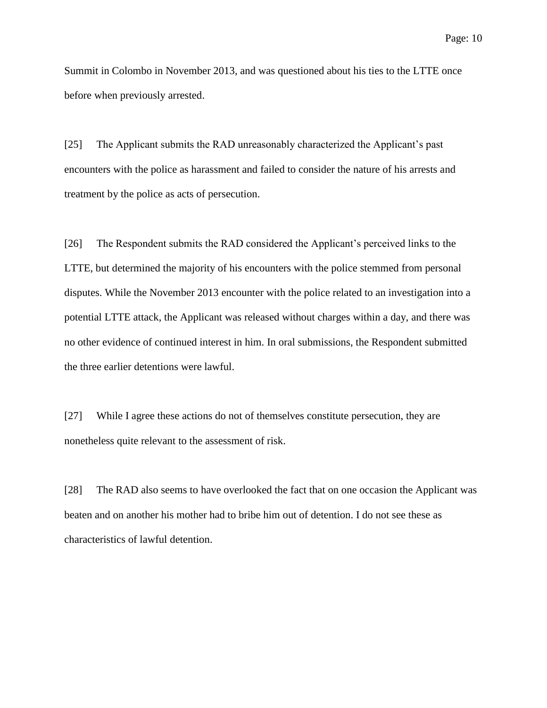Summit in Colombo in November 2013, and was questioned about his ties to the LTTE once before when previously arrested.

[25] The Applicant submits the RAD unreasonably characterized the Applicant's past encounters with the police as harassment and failed to consider the nature of his arrests and treatment by the police as acts of persecution.

[26] The Respondent submits the RAD considered the Applicant's perceived links to the LTTE, but determined the majority of his encounters with the police stemmed from personal disputes. While the November 2013 encounter with the police related to an investigation into a potential LTTE attack, the Applicant was released without charges within a day, and there was no other evidence of continued interest in him. In oral submissions, the Respondent submitted the three earlier detentions were lawful.

[27] While I agree these actions do not of themselves constitute persecution, they are nonetheless quite relevant to the assessment of risk.

[28] The RAD also seems to have overlooked the fact that on one occasion the Applicant was beaten and on another his mother had to bribe him out of detention. I do not see these as characteristics of lawful detention.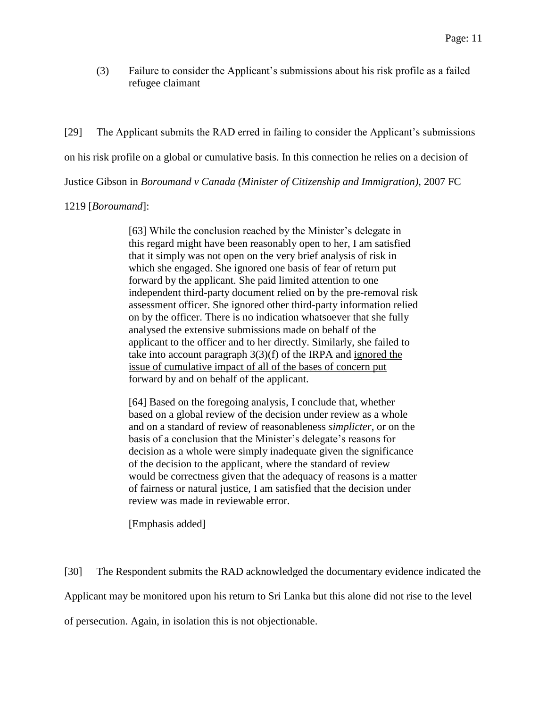(3) Failure to consider the Applicant's submissions about his risk profile as a failed refugee claimant

[29] The Applicant submits the RAD erred in failing to consider the Applicant's submissions on his risk profile on a global or cumulative basis. In this connection he relies on a decision of Justice Gibson in *Boroumand v Canada (Minister of Citizenship and Immigration),* 2007 FC

#### 1219 [*Boroumand*]:

[63] While the conclusion reached by the Minister's delegate in this regard might have been reasonably open to her, I am satisfied that it simply was not open on the very brief analysis of risk in which she engaged. She ignored one basis of fear of return put forward by the applicant. She paid limited attention to one independent third-party document relied on by the pre-removal risk assessment officer. She ignored other third-party information relied on by the officer. There is no indication whatsoever that she fully analysed the extensive submissions made on behalf of the applicant to the officer and to her directly. Similarly, she failed to take into account paragraph 3(3)(f) of the IRPA and ignored the issue of cumulative impact of all of the bases of concern put forward by and on behalf of the applicant.

[64] Based on the foregoing analysis, I conclude that, whether based on a global review of the decision under review as a whole and on a standard of review of reasonableness *simplicter*, or on the basis of a conclusion that the Minister's delegate's reasons for decision as a whole were simply inadequate given the significance of the decision to the applicant, where the standard of review would be correctness given that the adequacy of reasons is a matter of fairness or natural justice, I am satisfied that the decision under review was made in reviewable error.

[Emphasis added]

[30] The Respondent submits the RAD acknowledged the documentary evidence indicated the Applicant may be monitored upon his return to Sri Lanka but this alone did not rise to the level of persecution. Again, in isolation this is not objectionable.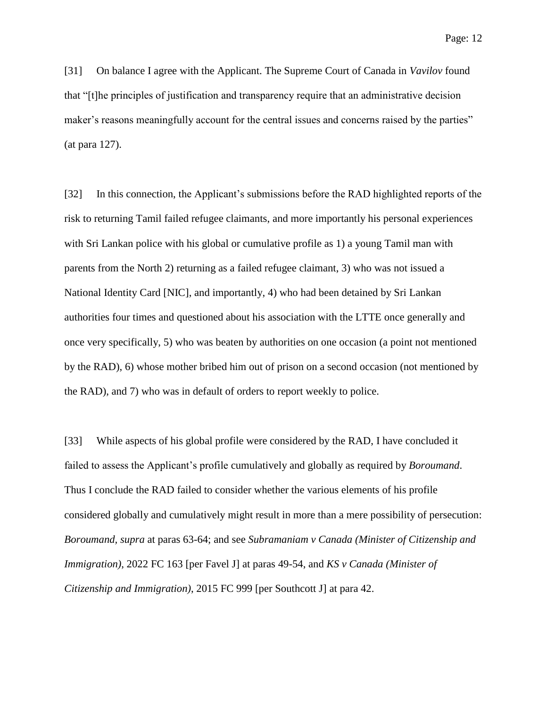[31] On balance I agree with the Applicant. The Supreme Court of Canada in *Vavilov* found that "[t]he principles of justification and transparency require that an administrative decision maker's reasons meaningfully account for the central issues and concerns raised by the parties" (at para 127).

[32] In this connection, the Applicant's submissions before the RAD highlighted reports of the risk to returning Tamil failed refugee claimants, and more importantly his personal experiences with Sri Lankan police with his global or cumulative profile as 1) a young Tamil man with parents from the North 2) returning as a failed refugee claimant, 3) who was not issued a National Identity Card [NIC], and importantly, 4) who had been detained by Sri Lankan authorities four times and questioned about his association with the LTTE once generally and once very specifically, 5) who was beaten by authorities on one occasion (a point not mentioned by the RAD), 6) whose mother bribed him out of prison on a second occasion (not mentioned by the RAD), and 7) who was in default of orders to report weekly to police.

[33] While aspects of his global profile were considered by the RAD, I have concluded it failed to assess the Applicant's profile cumulatively and globally as required by *Boroumand*. Thus I conclude the RAD failed to consider whether the various elements of his profile considered globally and cumulatively might result in more than a mere possibility of persecution: *Boroumand, supra* at paras 63-64; and see *Subramaniam v Canada (Minister of Citizenship and Immigration)*, 2022 FC 163 [per Favel J] at paras 49-54, and *KS v Canada (Minister of Citizenship and Immigration)*, 2015 FC 999 [per Southcott J] at para 42.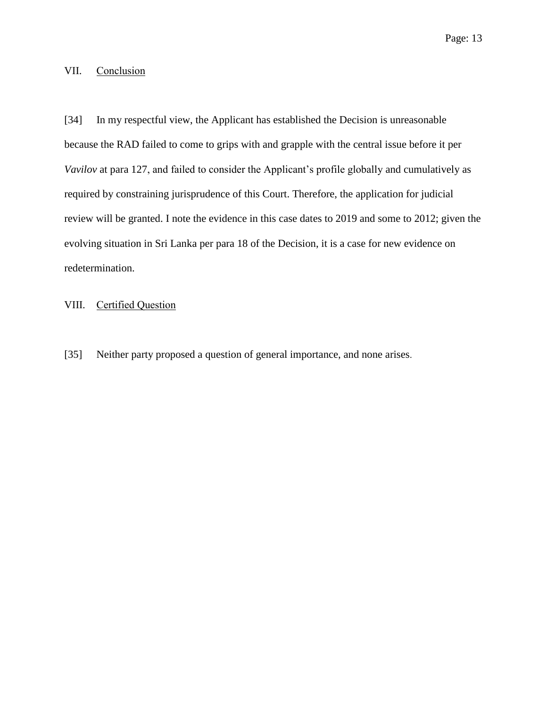#### VII. Conclusion

[34] In my respectful view, the Applicant has established the Decision is unreasonable because the RAD failed to come to grips with and grapple with the central issue before it per *Vavilov* at para 127, and failed to consider the Applicant's profile globally and cumulatively as required by constraining jurisprudence of this Court. Therefore, the application for judicial review will be granted. I note the evidence in this case dates to 2019 and some to 2012; given the evolving situation in Sri Lanka per para 18 of the Decision, it is a case for new evidence on redetermination.

## VIII. Certified Question

[35] Neither party proposed a question of general importance, and none arises.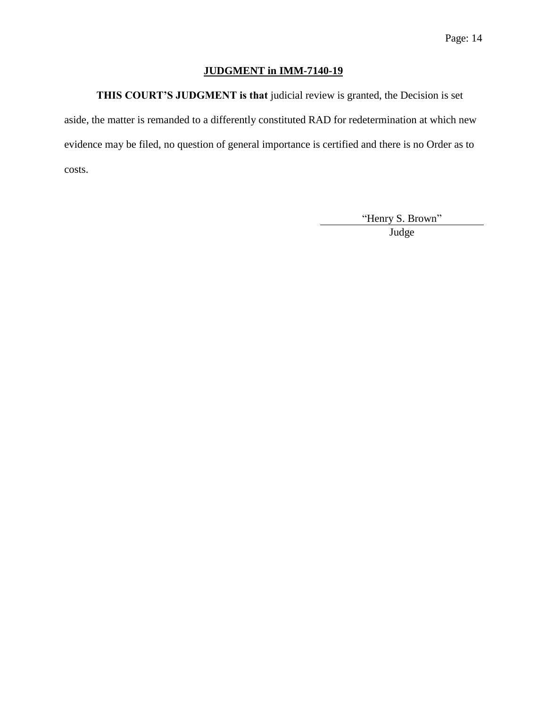# **JUDGMENT in IMM-7140-19**

**THIS COURT'S JUDGMENT is that** judicial review is granted, the Decision is set

aside, the matter is remanded to a differently constituted RAD for redetermination at which new evidence may be filed, no question of general importance is certified and there is no Order as to costs.

> "Henry S. Brown" **Judge**